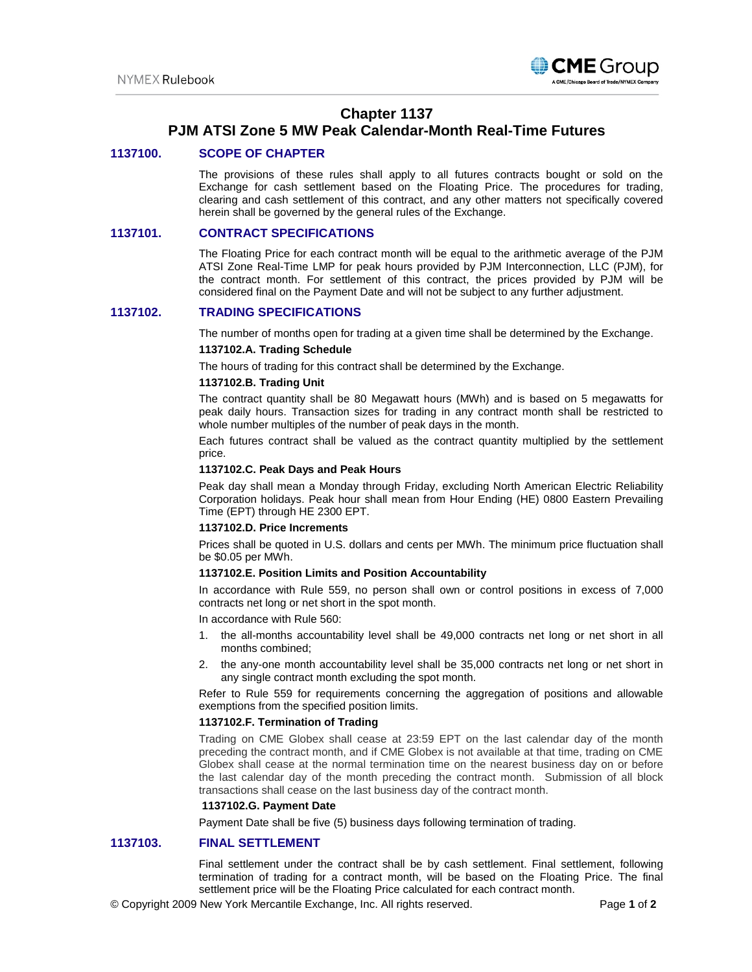

# **Chapter 1137**

# **PJM ATSI Zone 5 MW Peak Calendar-Month Real-Time Futures**

## **1137100. SCOPE OF CHAPTER**

The provisions of these rules shall apply to all futures contracts bought or sold on the Exchange for cash settlement based on the Floating Price. The procedures for trading, clearing and cash settlement of this contract, and any other matters not specifically covered herein shall be governed by the general rules of the Exchange.

## **1137101. CONTRACT SPECIFICATIONS**

The Floating Price for each contract month will be equal to the arithmetic average of the PJM ATSI Zone Real-Time LMP for peak hours provided by PJM Interconnection, LLC (PJM), for the contract month. For settlement of this contract, the prices provided by PJM will be considered final on the Payment Date and will not be subject to any further adjustment.

## **1137102. TRADING SPECIFICATIONS**

The number of months open for trading at a given time shall be determined by the Exchange.

## **1137102.A. Trading Schedule**

The hours of trading for this contract shall be determined by the Exchange.

## **1137102.B. Trading Unit**

The contract quantity shall be 80 Megawatt hours (MWh) and is based on 5 megawatts for peak daily hours. Transaction sizes for trading in any contract month shall be restricted to whole number multiples of the number of peak days in the month.

Each futures contract shall be valued as the contract quantity multiplied by the settlement price.

#### **1137102.C. Peak Days and Peak Hours**

Peak day shall mean a Monday through Friday, excluding North American Electric Reliability Corporation holidays. Peak hour shall mean from Hour Ending (HE) 0800 Eastern Prevailing Time (EPT) through HE 2300 EPT.

### **1137102.D. Price Increments**

Prices shall be quoted in U.S. dollars and cents per MWh. The minimum price fluctuation shall be \$0.05 per MWh.

#### **1137102.E. Position Limits and Position Accountability**

In accordance with Rule 559, no person shall own or control positions in excess of 7,000 contracts net long or net short in the spot month.

In accordance with Rule 560:

- 1. the all-months accountability level shall be 49,000 contracts net long or net short in all months combined;
- 2. the any-one month accountability level shall be 35,000 contracts net long or net short in any single contract month excluding the spot month.

Refer to Rule 559 for requirements concerning the aggregation of positions and allowable exemptions from the specified position limits.

#### **1137102.F. Termination of Trading**

Trading on CME Globex shall cease at 23:59 EPT on the last calendar day of the month preceding the contract month, and if CME Globex is not available at that time, trading on CME Globex shall cease at the normal termination time on the nearest business day on or before the last calendar day of the month preceding the contract month. Submission of all block transactions shall cease on the last business day of the contract month.

#### **1137102.G. Payment Date**

Payment Date shall be five (5) business days following termination of trading.

## **1137103. FINAL SETTLEMENT**

Final settlement under the contract shall be by cash settlement. Final settlement, following termination of trading for a contract month, will be based on the Floating Price. The final settlement price will be the Floating Price calculated for each contract month.